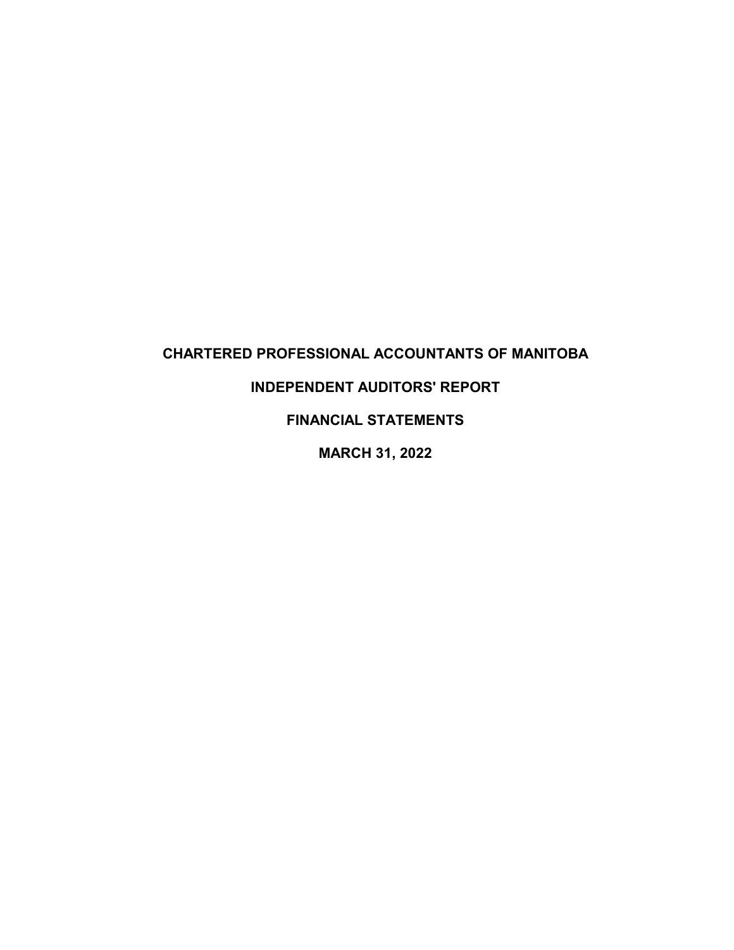# CHARTERED PROFESSIONAL ACCOUNTANTS OF MANITOBA INDEPENDENT AUDITORS' REPORT FINANCIAL STATEMENTS MARCH 31, 2022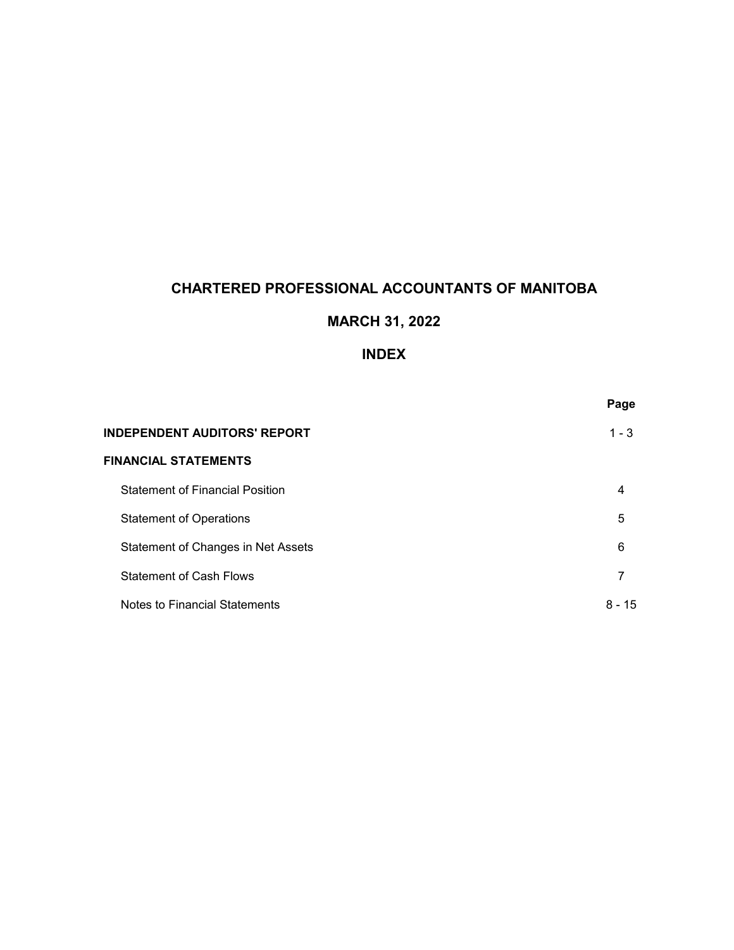# CHARTERED PROFESSIONAL ACCOUNTANTS OF MANITOBA

# MARCH 31, 2022

# INDEX

|                                        | Page     |
|----------------------------------------|----------|
| <b>INDEPENDENT AUDITORS' REPORT</b>    | $1 - 3$  |
| <b>FINANCIAL STATEMENTS</b>            |          |
| <b>Statement of Financial Position</b> | 4        |
| <b>Statement of Operations</b>         | 5        |
| Statement of Changes in Net Assets     | 6        |
| <b>Statement of Cash Flows</b>         | 7        |
| <b>Notes to Financial Statements</b>   | $8 - 15$ |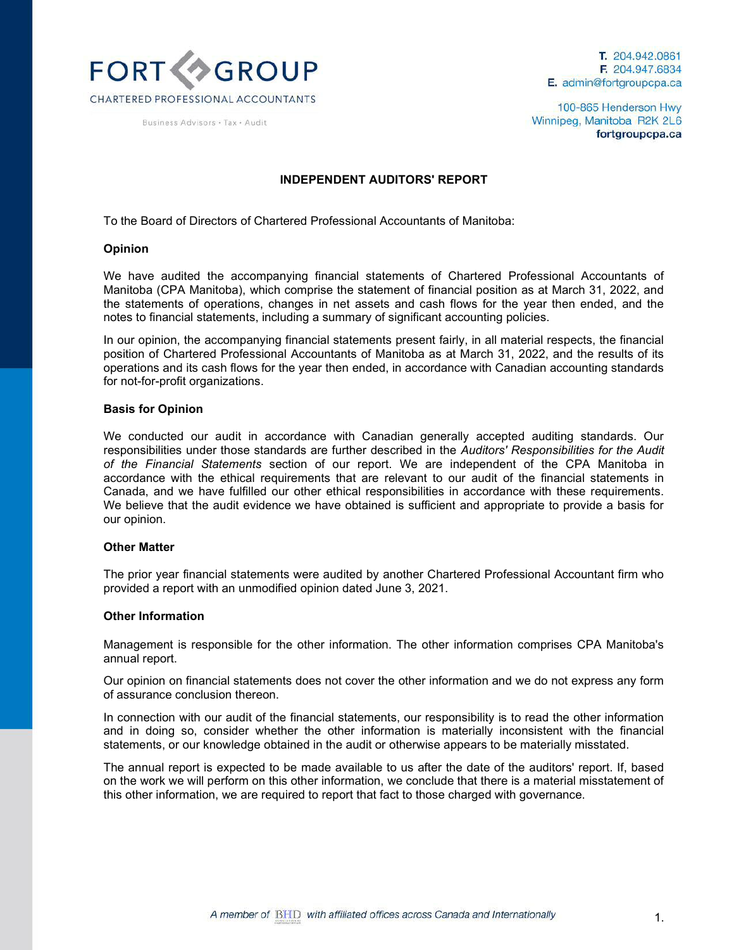

Business Advisors . Tax . Audit

T. 204.942.0861 F. 204.947.6834 E. admin@fortgroupcpa.ca

100-865 Henderson Hwy Winnipeg, Manitoba R2K 2L6 fortgroupcpa.ca

#### **INDEPENDENT AUDITORS' REPORT**

To the Board of Directors of Chartered Professional Accountants of Manitoba:

#### **Opinion**

We have audited the accompanying financial statements of Chartered Professional Accountants of Manitoba (CPA Manitoba), which comprise the statement of financial position as at March 31, 2022, and the statements of operations, changes in net assets and cash flows for the year then ended, and the notes to financial statements, including a summary of significant accounting policies.

In our opinion, the accompanying financial statements present fairly, in all material respects, the financial position of Chartered Professional Accountants of Manitoba as at March 31, 2022, and the results of its operations and its cash flows for the year then ended, in accordance with Canadian accounting standards for not-for-profit organizations.

#### **Basis for Opinion**

We conducted our audit in accordance with Canadian generally accepted auditing standards. Our responsibilities under those standards are further described in the *Auditors' Responsibilities for the Audit of the Financial Statements* section of our report. We are independent of the CPA Manitoba in accordance with the ethical requirements that are relevant to our audit of the financial statements in Canada, and we have fulfilled our other ethical responsibilities in accordance with these requirements. We believe that the audit evidence we have obtained is sufficient and appropriate to provide a basis for our opinion.

#### **Other Matter**

The prior year financial statements were audited by another Chartered Professional Accountant firm who provided a report with an unmodified opinion dated June 3, 2021.

#### **Other Information**

Management is responsible for the other information. The other information comprises CPA Manitoba's annual report.

Our opinion on financial statements does not cover the other information and we do not express any form of assurance conclusion thereon.

In connection with our audit of the financial statements, our responsibility is to read the other information and in doing so, consider whether the other information is materially inconsistent with the financial statements, or our knowledge obtained in the audit or otherwise appears to be materially misstated.

The annual report is expected to be made available to us after the date of the auditors' report. If, based on the work we will perform on this other information, we conclude that there is a material misstatement of this other information, we are required to report that fact to those charged with governance.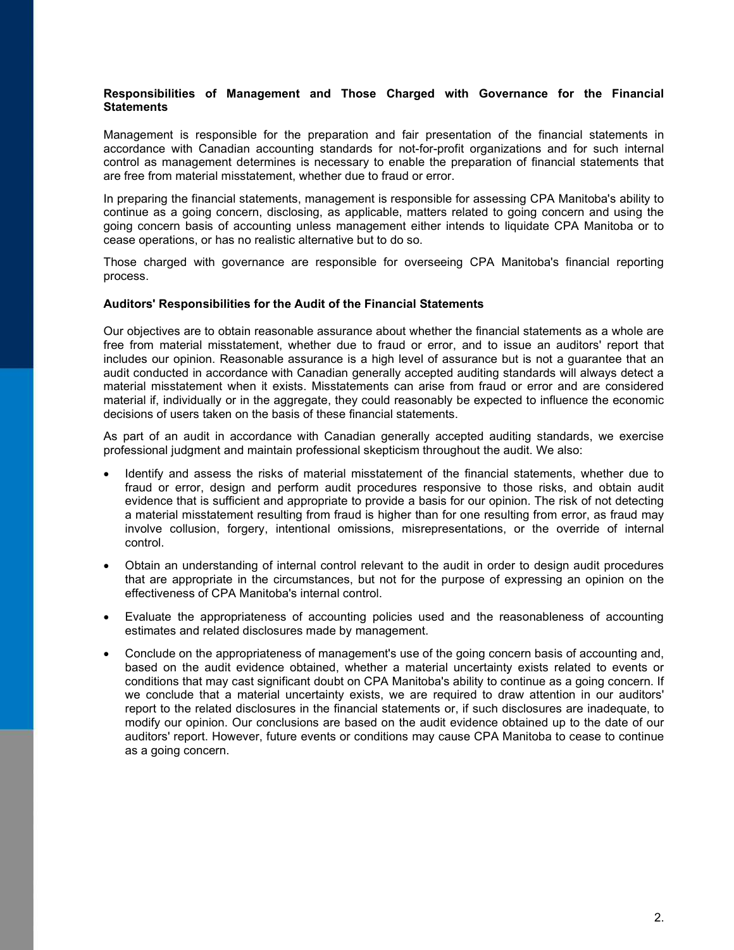## **Responsibilities of Management and Those Charged with Governance for the Financial Statements**

Management is responsible for the preparation and fair presentation of the financial statements in accordance with Canadian accounting standards for not-for-profit organizations and for such internal control as management determines is necessary to enable the preparation of financial statements that are free from material misstatement, whether due to fraud or error.

In preparing the financial statements, management is responsible for assessing CPA Manitoba's ability to continue as a going concern, disclosing, as applicable, matters related to going concern and using the going concern basis of accounting unless management either intends to liquidate CPA Manitoba or to cease operations, or has no realistic alternative but to do so.

Those charged with governance are responsible for overseeing CPA Manitoba's financial reporting process.

#### **Auditors' Responsibilities for the Audit of the Financial Statements**

Our objectives are to obtain reasonable assurance about whether the financial statements as a whole are free from material misstatement, whether due to fraud or error, and to issue an auditors' report that includes our opinion. Reasonable assurance is a high level of assurance but is not a guarantee that an audit conducted in accordance with Canadian generally accepted auditing standards will always detect a material misstatement when it exists. Misstatements can arise from fraud or error and are considered material if, individually or in the aggregate, they could reasonably be expected to influence the economic decisions of users taken on the basis of these financial statements.

As part of an audit in accordance with Canadian generally accepted auditing standards, we exercise professional judgment and maintain professional skepticism throughout the audit. We also:

- Identify and assess the risks of material misstatement of the financial statements, whether due to fraud or error, design and perform audit procedures responsive to those risks, and obtain audit evidence that is sufficient and appropriate to provide a basis for our opinion. The risk of not detecting a material misstatement resulting from fraud is higher than for one resulting from error, as fraud may involve collusion, forgery, intentional omissions, misrepresentations, or the override of internal control.
- Obtain an understanding of internal control relevant to the audit in order to design audit procedures that are appropriate in the circumstances, but not for the purpose of expressing an opinion on the effectiveness of CPA Manitoba's internal control.
- Evaluate the appropriateness of accounting policies used and the reasonableness of accounting estimates and related disclosures made by management.
- Conclude on the appropriateness of management's use of the going concern basis of accounting and, based on the audit evidence obtained, whether a material uncertainty exists related to events or conditions that may cast significant doubt on CPA Manitoba's ability to continue as a going concern. If we conclude that a material uncertainty exists, we are required to draw attention in our auditors' report to the related disclosures in the financial statements or, if such disclosures are inadequate, to modify our opinion. Our conclusions are based on the audit evidence obtained up to the date of our auditors' report. However, future events or conditions may cause CPA Manitoba to cease to continue as a going concern.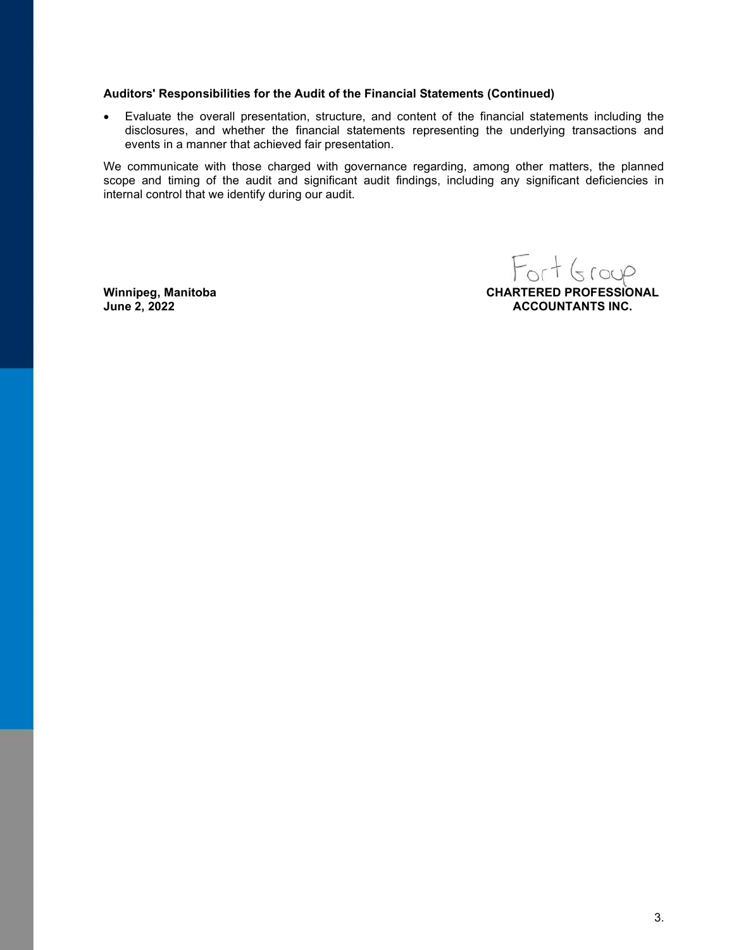## **Auditors' Responsibilities for the Audit of the Financial Statements (Continued)**

 Evaluate the overall presentation, structure, and content of the financial statements including the disclosures, and whether the financial statements representing the underlying transactions and events in a manner that achieved fair presentation.

We communicate with those charged with governance regarding, among other matters, the planned scope and timing of the audit and significant audit findings, including any significant deficiencies in internal control that we identify during our audit.

Fort Group

Winnipeg, Manitoba **CHARTERED PROFESSIONAL**<br>June 2, 2022 **ACCOUNTANTS INC.**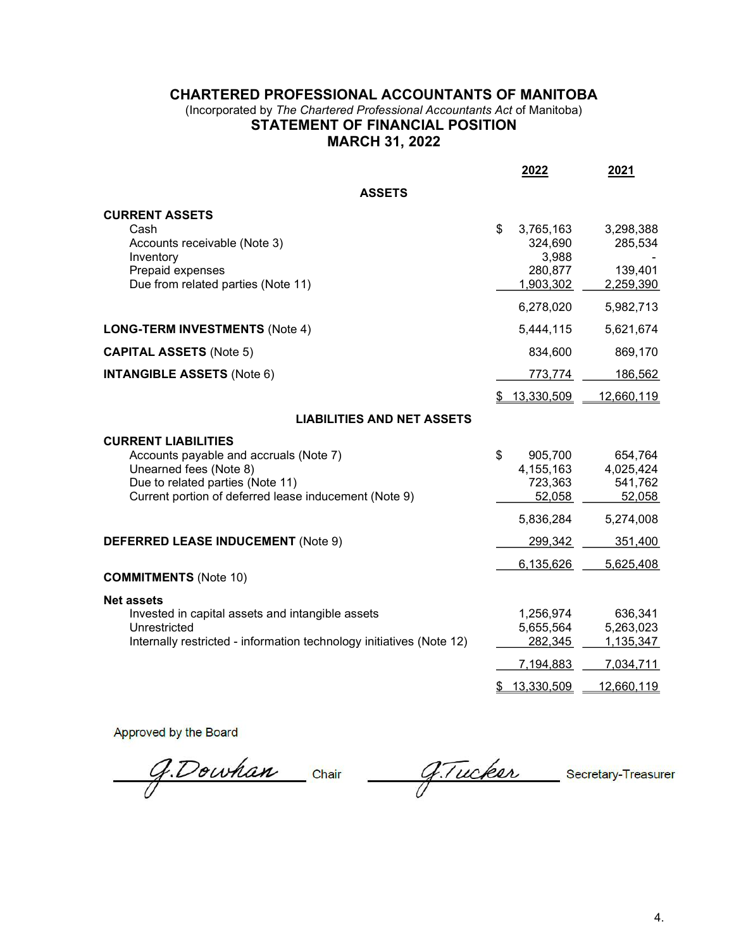# **CHARTERED PROFESSIONAL ACCOUNTANTS OF MANITOBA**

(Incorporated by *The Chartered Professional Accountants Act* of Manitoba) **STATEMENT OF FINANCIAL POSITION MARCH 31, 2022** 

|                                                                      | 2022             | 2021       |
|----------------------------------------------------------------------|------------------|------------|
| <b>ASSETS</b>                                                        |                  |            |
| <b>CURRENT ASSETS</b>                                                |                  |            |
| Cash                                                                 | \$<br>3,765,163  | 3,298,388  |
| Accounts receivable (Note 3)                                         | 324,690          | 285,534    |
| Inventory<br>Prepaid expenses                                        | 3,988<br>280,877 | 139,401    |
| Due from related parties (Note 11)                                   | 1,903,302        | 2,259,390  |
|                                                                      | 6,278,020        | 5,982,713  |
| <b>LONG-TERM INVESTMENTS (Note 4)</b>                                | 5,444,115        | 5,621,674  |
| <b>CAPITAL ASSETS (Note 5)</b>                                       | 834,600          | 869,170    |
| <b>INTANGIBLE ASSETS (Note 6)</b>                                    | 773,774          | 186,562    |
|                                                                      | 13,330,509       | 12,660,119 |
| <b>LIABILITIES AND NET ASSETS</b>                                    |                  |            |
| <b>CURRENT LIABILITIES</b>                                           |                  |            |
| Accounts payable and accruals (Note 7)                               | \$<br>905,700    | 654,764    |
| Unearned fees (Note 8)                                               | 4,155,163        | 4,025,424  |
| Due to related parties (Note 11)                                     | 723,363          | 541,762    |
| Current portion of deferred lease inducement (Note 9)                | 52,058           | 52,058     |
|                                                                      | 5,836,284        | 5,274,008  |
| <b>DEFERRED LEASE INDUCEMENT (Note 9)</b>                            | 299,342          | 351,400    |
|                                                                      | 6,135,626        | 5,625,408  |
| <b>COMMITMENTS (Note 10)</b>                                         |                  |            |
| <b>Net assets</b>                                                    |                  |            |
| Invested in capital assets and intangible assets                     | 1,256,974        | 636,341    |
| Unrestricted                                                         | 5,655,564        | 5,263,023  |
| Internally restricted - information technology initiatives (Note 12) | 282,345          | 1,135,347  |
|                                                                      | 7,194,883        | 7,034,711  |
|                                                                      | \$<br>13,330,509 | 12,660,119 |

Approved by the Board

G. Dowhan chair G. Tucker Secretary-Treasurer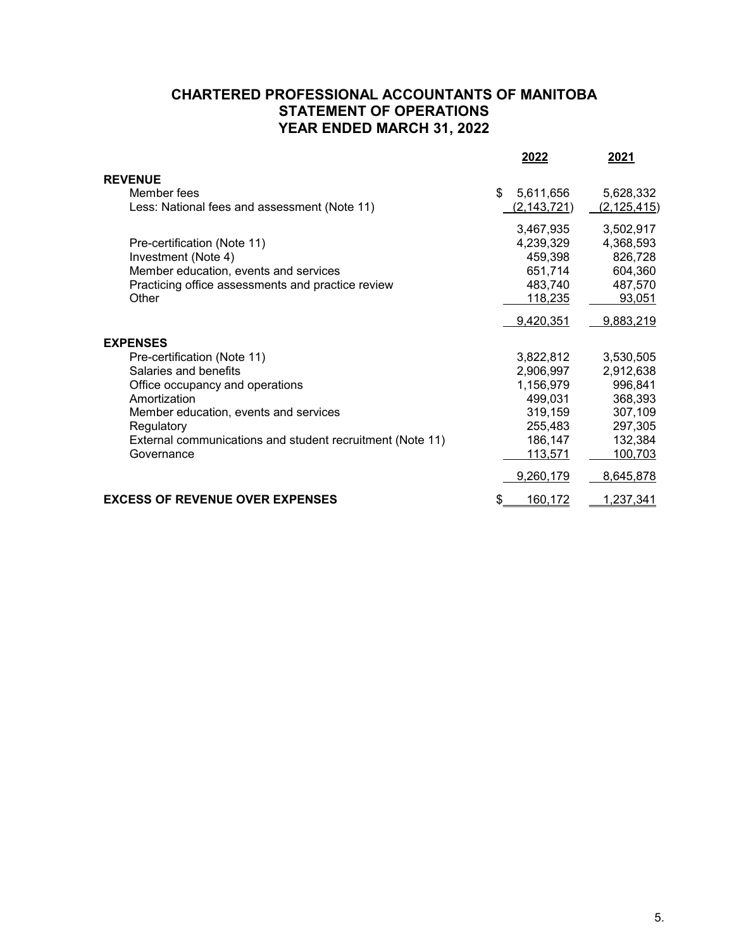# CHARTERED PROFESSIONAL ACCOUNTANTS OF MANITOBA STATEMENT OF OPERATIONS YEAR ENDED MARCH 31, 2022

|                                                           | 2022               | 2021          |
|-----------------------------------------------------------|--------------------|---------------|
| <b>REVENUE</b>                                            |                    |               |
| Member fees                                               | \$<br>5,611,656    | 5,628,332     |
| Less: National fees and assessment (Note 11)              | <u>(2,143,721)</u> | (2, 125, 415) |
|                                                           | 3,467,935          | 3,502,917     |
| Pre-certification (Note 11)                               | 4,239,329          | 4,368,593     |
| Investment (Note 4)                                       | 459,398            | 826,728       |
| Member education, events and services                     | 651,714            | 604,360       |
| Practicing office assessments and practice review         | 483,740            | 487,570       |
| Other                                                     | <u>118,235</u>     | 93,051        |
|                                                           | 9,420,351          | 9,883,219     |
| <b>EXPENSES</b>                                           |                    |               |
| Pre-certification (Note 11)                               | 3,822,812          | 3,530,505     |
| Salaries and benefits                                     | 2,906,997          | 2,912,638     |
| Office occupancy and operations                           | 1,156,979          | 996,841       |
| Amortization                                              | 499,031            | 368,393       |
| Member education, events and services                     | 319,159            | 307,109       |
| Regulatory                                                | 255,483            | 297,305       |
| External communications and student recruitment (Note 11) | 186,147            | 132,384       |
| Governance                                                | 113,571            | 100,703       |
|                                                           | 9,260,179          | 8,645,878     |
| <b>EXCESS OF REVENUE OVER EXPENSES</b>                    | 160,172<br>S       | 1,237,341     |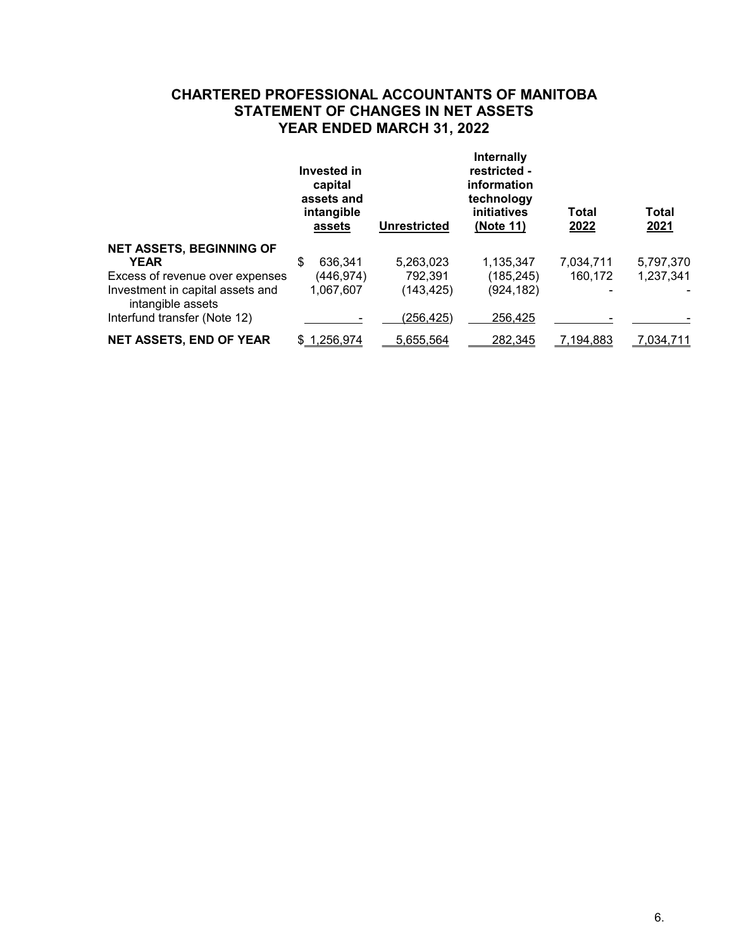# CHARTERED PROFESSIONAL ACCOUNTANTS OF MANITOBA STATEMENT OF CHANGES IN NET ASSETS YEAR ENDED MARCH 31, 2022

|                                                       | Invested in<br>capital<br>assets and<br>intangible<br>assets | <b>Unrestricted</b> | <b>Internally</b><br>restricted -<br>information<br>technology<br>initiatives<br>(Note 11) | Total<br>2022 | <b>Total</b><br>2021 |
|-------------------------------------------------------|--------------------------------------------------------------|---------------------|--------------------------------------------------------------------------------------------|---------------|----------------------|
| <b>NET ASSETS, BEGINNING OF</b>                       |                                                              |                     |                                                                                            |               |                      |
| <b>YEAR</b>                                           | \$<br>636.341                                                | 5,263,023           | 1.135.347                                                                                  | 7,034,711     | 5,797,370            |
| Excess of revenue over expenses                       | (446, 974)                                                   | 792,391             | (185, 245)                                                                                 | 160.172       | 1,237,341            |
| Investment in capital assets and<br>intangible assets | 1,067,607                                                    | (143, 425)          | (924, 182)                                                                                 |               |                      |
| Interfund transfer (Note 12)                          |                                                              | (256, 425)          | 256,425                                                                                    |               |                      |
| <b>NET ASSETS, END OF YEAR</b>                        | \$1,256,974                                                  | 5.655.564           | 282.345                                                                                    | 7,194,883     | 7,034,711            |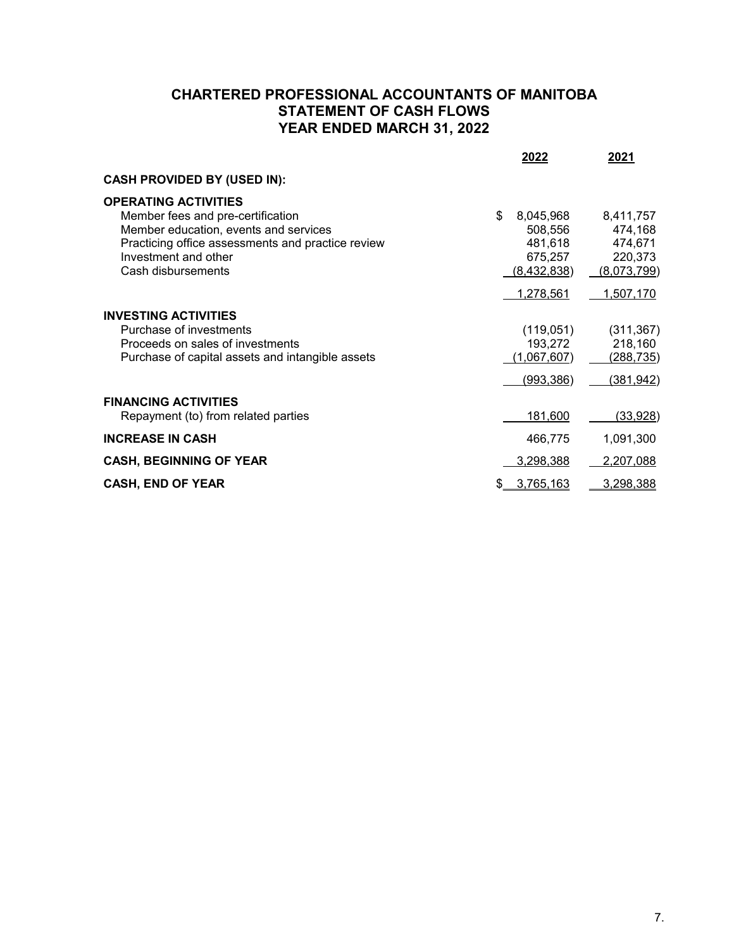# CHARTERED PROFESSIONAL ACCOUNTANTS OF MANITOBA STATEMENT OF CASH FLOWS YEAR ENDED MARCH 31, 2022

|                                                                                                                                                                                                              | 2022                                                                         | 2021                                                                   |
|--------------------------------------------------------------------------------------------------------------------------------------------------------------------------------------------------------------|------------------------------------------------------------------------------|------------------------------------------------------------------------|
| <b>CASH PROVIDED BY (USED IN):</b>                                                                                                                                                                           |                                                                              |                                                                        |
| <b>OPERATING ACTIVITIES</b><br>Member fees and pre-certification<br>Member education, events and services<br>Practicing office assessments and practice review<br>Investment and other<br>Cash disbursements | \$<br>8,045,968<br>508,556<br>481,618<br>675,257<br>(8,432,838)<br>1,278,561 | 8,411,757<br>474,168<br>474,671<br>220,373<br>(8,073,799)<br>1,507,170 |
| <b>INVESTING ACTIVITIES</b><br>Purchase of investments<br>Proceeds on sales of investments<br>Purchase of capital assets and intangible assets                                                               | (119, 051)<br>193,272<br>(1,067,607)<br><u>(993,386)</u>                     | (311, 367)<br>218,160<br><u>(288,735)</u><br>(381, 942)                |
| <b>FINANCING ACTIVITIES</b><br>Repayment (to) from related parties                                                                                                                                           | 181,600                                                                      | (33, 928)                                                              |
| <b>INCREASE IN CASH</b>                                                                                                                                                                                      | 466,775                                                                      | 1,091,300                                                              |
| <b>CASH, BEGINNING OF YEAR</b>                                                                                                                                                                               | 3,298,388                                                                    | 2,207,088                                                              |
| <b>CASH, END OF YEAR</b>                                                                                                                                                                                     | 3,765,163<br>\$                                                              | 3,298,388                                                              |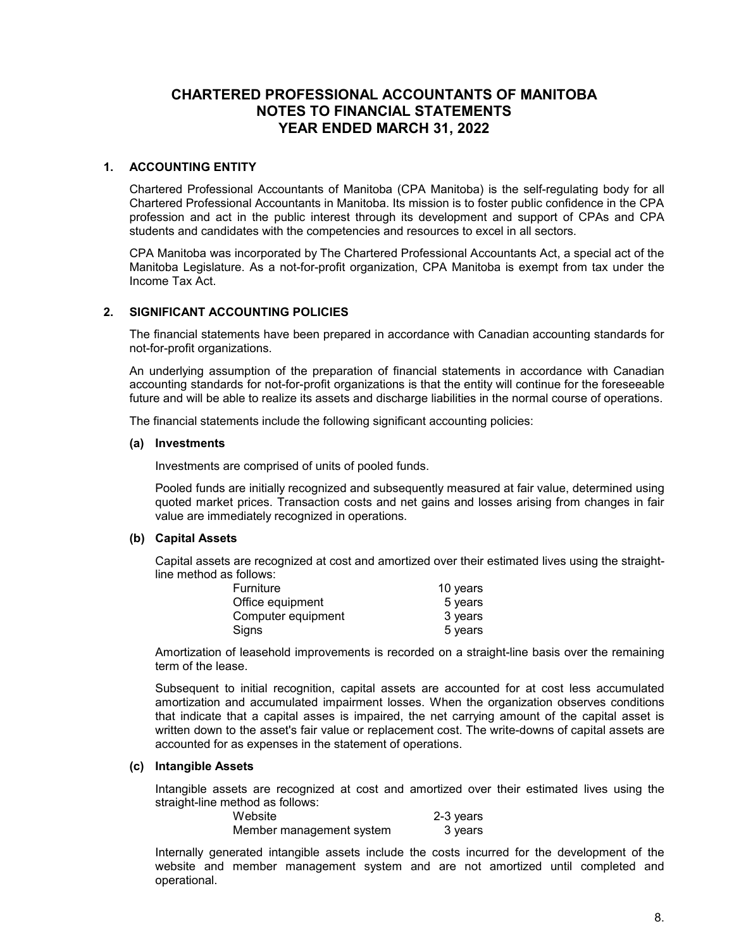## 1. ACCOUNTING ENTITY

Chartered Professional Accountants of Manitoba (CPA Manitoba) is the self-regulating body for all Chartered Professional Accountants in Manitoba. Its mission is to foster public confidence in the CPA profession and act in the public interest through its development and support of CPAs and CPA students and candidates with the competencies and resources to excel in all sectors.

CPA Manitoba was incorporated by The Chartered Professional Accountants Act, a special act of the Manitoba Legislature. As a not-for-profit organization, CPA Manitoba is exempt from tax under the Income Tax Act.

## 2. SIGNIFICANT ACCOUNTING POLICIES

The financial statements have been prepared in accordance with Canadian accounting standards for not-for-profit organizations.

An underlying assumption of the preparation of financial statements in accordance with Canadian accounting standards for not-for-profit organizations is that the entity will continue for the foreseeable future and will be able to realize its assets and discharge liabilities in the normal course of operations.

The financial statements include the following significant accounting policies:

#### (a) Investments

Investments are comprised of units of pooled funds.

Pooled funds are initially recognized and subsequently measured at fair value, determined using quoted market prices. Transaction costs and net gains and losses arising from changes in fair value are immediately recognized in operations.

#### (b) Capital Assets

Capital assets are recognized at cost and amortized over their estimated lives using the straightline method as follows:

| Furniture          | 10 years |
|--------------------|----------|
| Office equipment   | 5 years  |
| Computer equipment | 3 years  |
| Signs              | 5 years  |

Amortization of leasehold improvements is recorded on a straight-line basis over the remaining term of the lease.

Subsequent to initial recognition, capital assets are accounted for at cost less accumulated amortization and accumulated impairment losses. When the organization observes conditions that indicate that a capital asses is impaired, the net carrying amount of the capital asset is written down to the asset's fair value or replacement cost. The write-downs of capital assets are accounted for as expenses in the statement of operations.

#### (c) Intangible Assets

Intangible assets are recognized at cost and amortized over their estimated lives using the straight-line method as follows:

| Website                  | 2-3 years |
|--------------------------|-----------|
| Member management system | 3 years   |

Internally generated intangible assets include the costs incurred for the development of the website and member management system and are not amortized until completed and operational.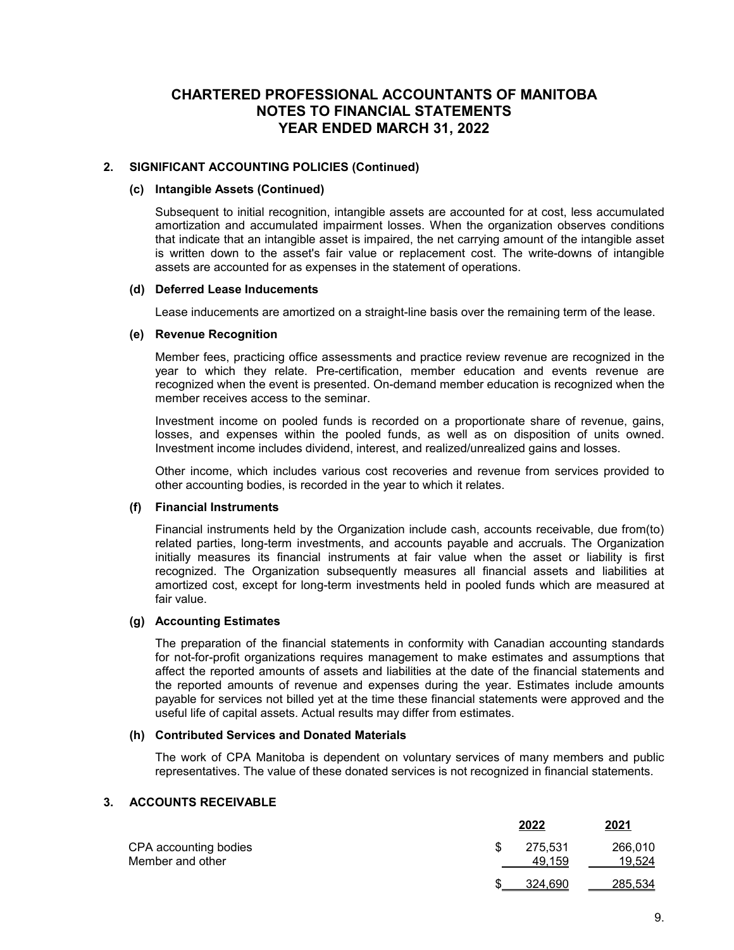#### 2. SIGNIFICANT ACCOUNTING POLICIES (Continued)

#### (c) Intangible Assets (Continued)

Subsequent to initial recognition, intangible assets are accounted for at cost, less accumulated amortization and accumulated impairment losses. When the organization observes conditions that indicate that an intangible asset is impaired, the net carrying amount of the intangible asset is written down to the asset's fair value or replacement cost. The write-downs of intangible assets are accounted for as expenses in the statement of operations.

#### (d) Deferred Lease Inducements

Lease inducements are amortized on a straight-line basis over the remaining term of the lease.

#### (e) Revenue Recognition

Member fees, practicing office assessments and practice review revenue are recognized in the year to which they relate. Pre-certification, member education and events revenue are recognized when the event is presented. On-demand member education is recognized when the member receives access to the seminar.

Investment income on pooled funds is recorded on a proportionate share of revenue, gains, losses, and expenses within the pooled funds, as well as on disposition of units owned. Investment income includes dividend, interest, and realized/unrealized gains and losses.

Other income, which includes various cost recoveries and revenue from services provided to other accounting bodies, is recorded in the year to which it relates.

#### (f) Financial Instruments

Financial instruments held by the Organization include cash, accounts receivable, due from(to) related parties, long-term investments, and accounts payable and accruals. The Organization initially measures its financial instruments at fair value when the asset or liability is first recognized. The Organization subsequently measures all financial assets and liabilities at amortized cost, except for long-term investments held in pooled funds which are measured at fair value.

## (g) Accounting Estimates

The preparation of the financial statements in conformity with Canadian accounting standards for not-for-profit organizations requires management to make estimates and assumptions that affect the reported amounts of assets and liabilities at the date of the financial statements and the reported amounts of revenue and expenses during the year. Estimates include amounts payable for services not billed yet at the time these financial statements were approved and the useful life of capital assets. Actual results may differ from estimates.

#### (h) Contributed Services and Donated Materials

The work of CPA Manitoba is dependent on voluntary services of many members and public representatives. The value of these donated services is not recognized in financial statements.

#### 3. ACCOUNTS RECEIVABLE

|                                           |   | 2022              | 2021              |
|-------------------------------------------|---|-------------------|-------------------|
| CPA accounting bodies<br>Member and other | S | 275.531<br>49.159 | 266,010<br>19.524 |
|                                           | S | 324.690           | 285,534           |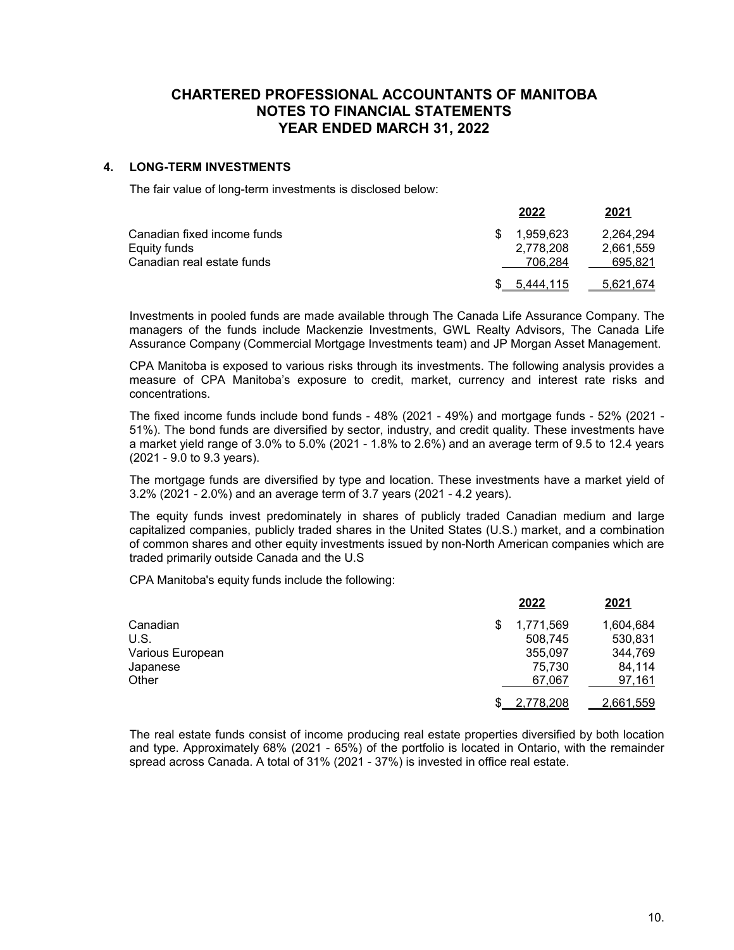## 4. LONG-TERM INVESTMENTS

The fair value of long-term investments is disclosed below:

|                             | 2022        | 2021      |
|-----------------------------|-------------|-----------|
| Canadian fixed income funds | 1.959.623   | 2.264.294 |
| Equity funds                | 2.778.208   | 2.661.559 |
| Canadian real estate funds  | 706.284     | 695.821   |
|                             | \$5.444.115 | 5,621,674 |

Investments in pooled funds are made available through The Canada Life Assurance Company. The managers of the funds include Mackenzie Investments, GWL Realty Advisors, The Canada Life Assurance Company (Commercial Mortgage Investments team) and JP Morgan Asset Management.

CPA Manitoba is exposed to various risks through its investments. The following analysis provides a measure of CPA Manitoba's exposure to credit, market, currency and interest rate risks and concentrations.

The fixed income funds include bond funds - 48% (2021 - 49%) and mortgage funds - 52% (2021 - 51%). The bond funds are diversified by sector, industry, and credit quality. These investments have a market yield range of 3.0% to 5.0% (2021 - 1.8% to 2.6%) and an average term of 9.5 to 12.4 years (2021 - 9.0 to 9.3 years).

The mortgage funds are diversified by type and location. These investments have a market yield of 3.2% (2021 - 2.0%) and an average term of 3.7 years (2021 - 4.2 years).

The equity funds invest predominately in shares of publicly traded Canadian medium and large capitalized companies, publicly traded shares in the United States (U.S.) market, and a combination of common shares and other equity investments issued by non-North American companies which are traded primarily outside Canada and the U.S

CPA Manitoba's equity funds include the following:

|                  |     | 2022      | 2021      |
|------------------|-----|-----------|-----------|
| Canadian         | S   | 1,771,569 | 1,604,684 |
| U.S.             |     | 508,745   | 530,831   |
| Various European |     | 355,097   | 344,769   |
| Japanese         |     | 75.730    | 84,114    |
| Other            |     | 67,067    | 97,161    |
|                  | \$. | 2,778,208 | 2,661,559 |

The real estate funds consist of income producing real estate properties diversified by both location and type. Approximately 68% (2021 - 65%) of the portfolio is located in Ontario, with the remainder spread across Canada. A total of 31% (2021 - 37%) is invested in office real estate.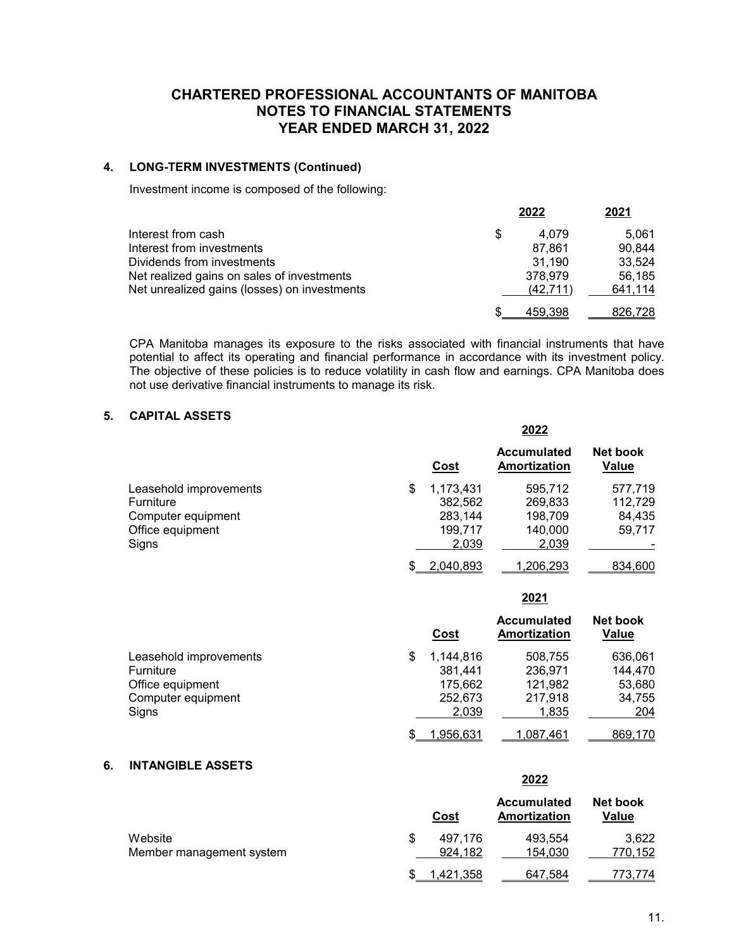## 4. LONG-TERM INVESTMENTS (Continued)

Investment income is composed of the following:

|                                              |    | 2022     | 2021    |
|----------------------------------------------|----|----------|---------|
| Interest from cash                           | \$ | 4.079    | 5.061   |
| Interest from investments                    |    | 87.861   | 90,844  |
| Dividends from investments                   |    | 31,190   | 33,524  |
| Net realized gains on sales of investments   |    | 378,979  | 56,185  |
| Net unrealized gains (losses) on investments |    | (42.711) | 641,114 |
|                                              | S  | 459.398  | 826,728 |

CPA Manitoba manages its exposure to the risks associated with financial instruments that have potential to affect its operating and financial performance in accordance with its investment policy. The objective of these policies is to reduce volatility in cash flow and earnings. CPA Manitoba does not use derivative financial instruments to manage its risk.

2022

2021

2022

## 5. CAPITAL ASSETS

|                        |                 | ---                                |                          |
|------------------------|-----------------|------------------------------------|--------------------------|
|                        | Cost            | <b>Accumulated</b><br>Amortization | Net book<br><b>Value</b> |
| Leasehold improvements | \$<br>1,173,431 | 595.712                            | 577.719                  |
| <b>Furniture</b>       | 382,562         | 269,833                            | 112,729                  |
| Computer equipment     | 283,144         | 198,709                            | 84,435                   |
| Office equipment       | 199.717         | 140.000                            | 59,717                   |
| Signs                  | 2,039           | 2,039                              |                          |
|                        | \$<br>2.040.893 | 1,206,293                          | 834,600                  |

|                        |    | Cost      | <b>Accumulated</b><br>Amortization | <b>Net book</b><br><b>Value</b> |
|------------------------|----|-----------|------------------------------------|---------------------------------|
| Leasehold improvements | S  | 1,144,816 | 508,755                            | 636,061                         |
| <b>Furniture</b>       |    | 381,441   | 236,971                            | 144,470                         |
| Office equipment       |    | 175.662   | 121,982                            | 53,680                          |
| Computer equipment     |    | 252,673   | 217.918                            | 34,755                          |
| Signs                  |    | 2,039     | 1,835                              | 204                             |
|                        | \$ | 1,956,631 | 1,087,461                          | 869,170                         |

## 6. INTANGIBLE ASSETS

|                                     |   | Cost               | <b>Accumulated</b><br>Amortization | Net book<br>Value |
|-------------------------------------|---|--------------------|------------------------------------|-------------------|
| Website<br>Member management system | S | 497.176<br>924.182 | 493.554<br>154.030                 | 3.622<br>770,152  |
|                                     |   | 1.421.358          | 647,584                            | 773.774           |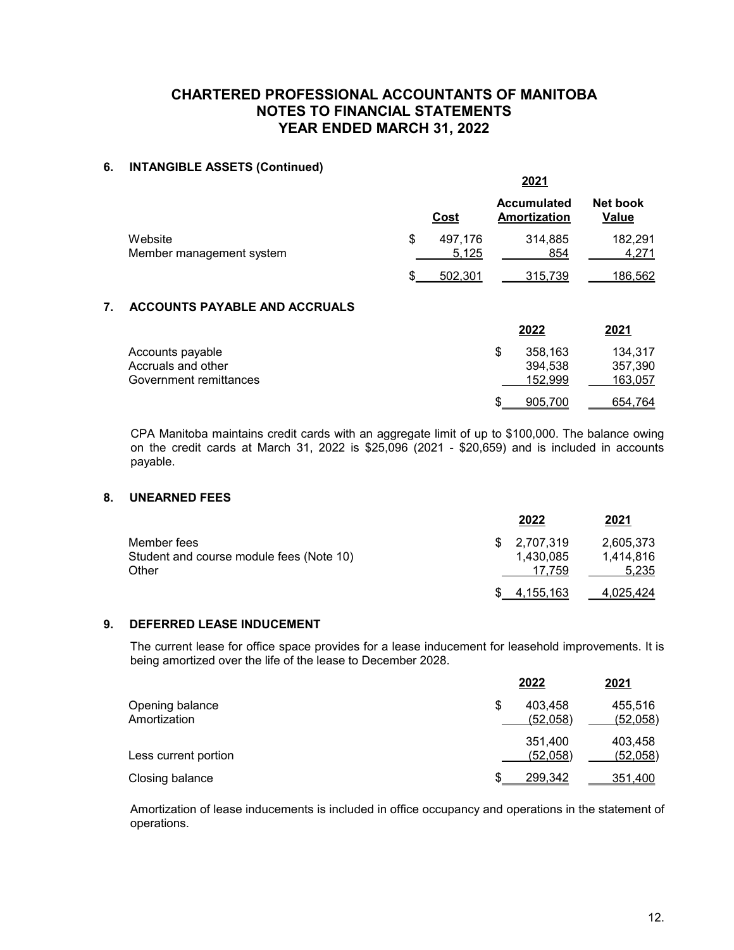#### 6. INTANGIBLE ASSETS (Continued)

|                                     |    | 2021             |                                    |                          |
|-------------------------------------|----|------------------|------------------------------------|--------------------------|
|                                     |    | <u>Cost</u>      | <b>Accumulated</b><br>Amortization | Net book<br><b>Value</b> |
| Website<br>Member management system | \$ | 497,176<br>5.125 | 314,885<br>854                     | 182,291<br>4.271         |
|                                     | S. | 502,301          | 315,739                            | 186,562                  |

## 7. ACCOUNTS PAYABLE AND ACCRUALS

|                        |   | 2022    | 2021    |
|------------------------|---|---------|---------|
| Accounts payable       | S | 358.163 | 134.317 |
| Accruals and other     |   | 394.538 | 357.390 |
| Government remittances |   | 152.999 | 163,057 |
|                        |   | 905.700 | 654,764 |

CPA Manitoba maintains credit cards with an aggregate limit of up to \$100,000. The balance owing on the credit cards at March 31, 2022 is \$25,096 (2021 - \$20,659) and is included in accounts payable.

## 8. UNEARNED FEES

|                                          |    | 2022      | 2021      |
|------------------------------------------|----|-----------|-----------|
| Member fees                              | S. | 2,707,319 | 2,605,373 |
| Student and course module fees (Note 10) |    | 1.430.085 | 1.414.816 |
| Other                                    |    | 17.759    | 5.235     |
|                                          |    | 4,155,163 | 4,025,424 |

#### 9. DEFERRED LEASE INDUCEMENT

The current lease for office space provides for a lease inducement for leasehold improvements. It is being amortized over the life of the lease to December 2028.

|                                 | 2022                      | 2021                |
|---------------------------------|---------------------------|---------------------|
| Opening balance<br>Amortization | \$<br>403,458<br>(52,058) | 455,516<br>(52,058) |
| Less current portion            | 351.400<br>(52,058)       | 403,458<br>(52,058) |
| Closing balance                 | \$<br>299,342             | 351,400             |

Amortization of lease inducements is included in office occupancy and operations in the statement of operations.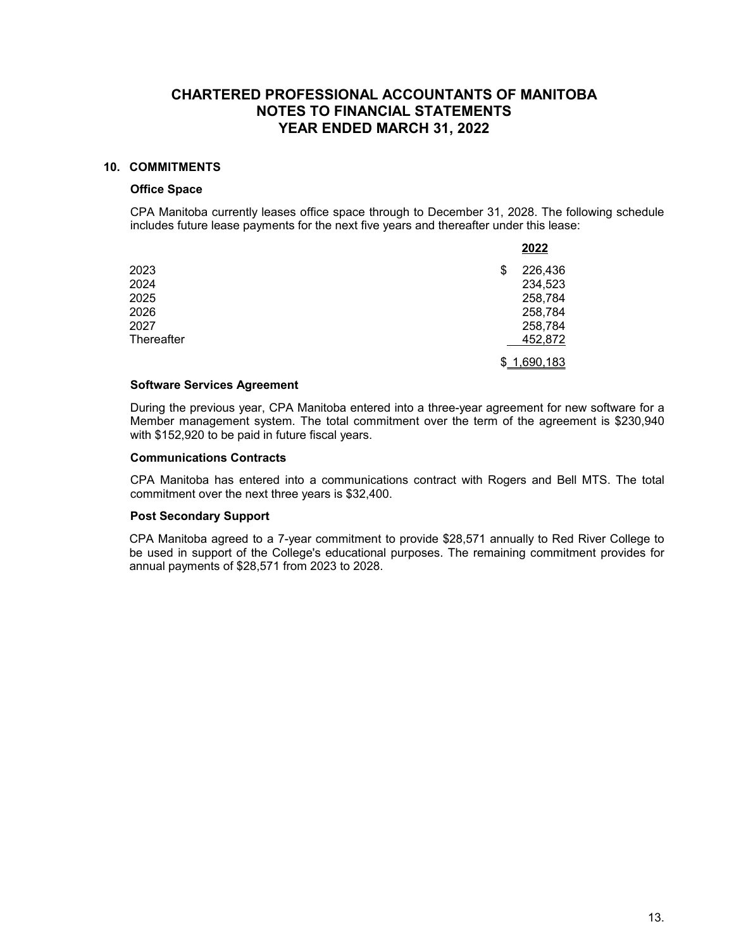#### 10. COMMITMENTS

#### Office Space

CPA Manitoba currently leases office space through to December 31, 2028. The following schedule includes future lease payments for the next five years and thereafter under this lease:

 $2022$ 

| ZUZZ          |
|---------------|
| \$<br>226,436 |
| 234,523       |
| 258,784       |
| 258,784       |
| 258,784       |
| 452,872       |
| \$1,690,183   |
|               |

#### Software Services Agreement

During the previous year, CPA Manitoba entered into a three-year agreement for new software for a Member management system. The total commitment over the term of the agreement is \$230,940 with \$152,920 to be paid in future fiscal years.

## Communications Contracts

CPA Manitoba has entered into a communications contract with Rogers and Bell MTS. The total commitment over the next three years is \$32,400.

#### Post Secondary Support

CPA Manitoba agreed to a 7-year commitment to provide \$28,571 annually to Red River College to be used in support of the College's educational purposes. The remaining commitment provides for annual payments of \$28,571 from 2023 to 2028.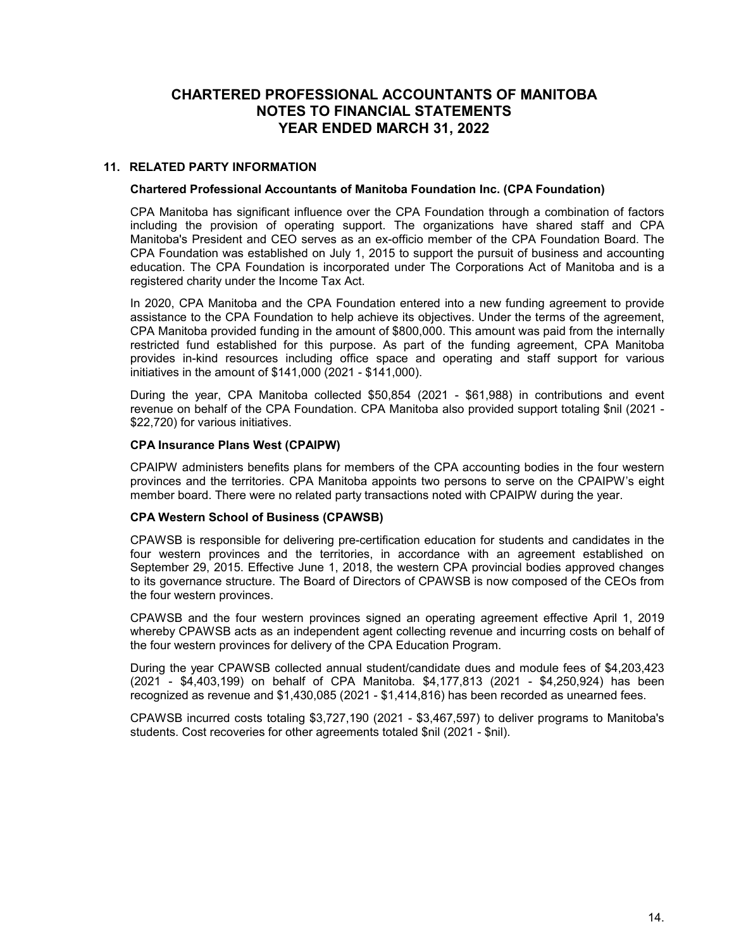#### 11. RELATED PARTY INFORMATION

## Chartered Professional Accountants of Manitoba Foundation Inc. (CPA Foundation)

CPA Manitoba has significant influence over the CPA Foundation through a combination of factors including the provision of operating support. The organizations have shared staff and CPA Manitoba's President and CEO serves as an ex-officio member of the CPA Foundation Board. The CPA Foundation was established on July 1, 2015 to support the pursuit of business and accounting education. The CPA Foundation is incorporated under The Corporations Act of Manitoba and is a registered charity under the Income Tax Act.

In 2020, CPA Manitoba and the CPA Foundation entered into a new funding agreement to provide assistance to the CPA Foundation to help achieve its objectives. Under the terms of the agreement, CPA Manitoba provided funding in the amount of \$800,000. This amount was paid from the internally restricted fund established for this purpose. As part of the funding agreement, CPA Manitoba provides in-kind resources including office space and operating and staff support for various initiatives in the amount of \$141,000 (2021 - \$141,000).

During the year, CPA Manitoba collected \$50,854 (2021 - \$61,988) in contributions and event revenue on behalf of the CPA Foundation. CPA Manitoba also provided support totaling \$nil (2021 - \$22,720) for various initiatives.

#### CPA Insurance Plans West (CPAIPW)

CPAIPW administers benefits plans for members of the CPA accounting bodies in the four western provinces and the territories. CPA Manitoba appoints two persons to serve on the CPAIPW's eight member board. There were no related party transactions noted with CPAIPW during the year.

#### CPA Western School of Business (CPAWSB)

CPAWSB is responsible for delivering pre-certification education for students and candidates in the four western provinces and the territories, in accordance with an agreement established on September 29, 2015. Effective June 1, 2018, the western CPA provincial bodies approved changes to its governance structure. The Board of Directors of CPAWSB is now composed of the CEOs from the four western provinces.

CPAWSB and the four western provinces signed an operating agreement effective April 1, 2019 whereby CPAWSB acts as an independent agent collecting revenue and incurring costs on behalf of the four western provinces for delivery of the CPA Education Program.

During the year CPAWSB collected annual student/candidate dues and module fees of \$4,203,423 (2021 - \$4,403,199) on behalf of CPA Manitoba. \$4,177,813 (2021 - \$4,250,924) has been recognized as revenue and \$1,430,085 (2021 - \$1,414,816) has been recorded as unearned fees.

CPAWSB incurred costs totaling \$3,727,190 (2021 - \$3,467,597) to deliver programs to Manitoba's students. Cost recoveries for other agreements totaled \$nil (2021 - \$nil).